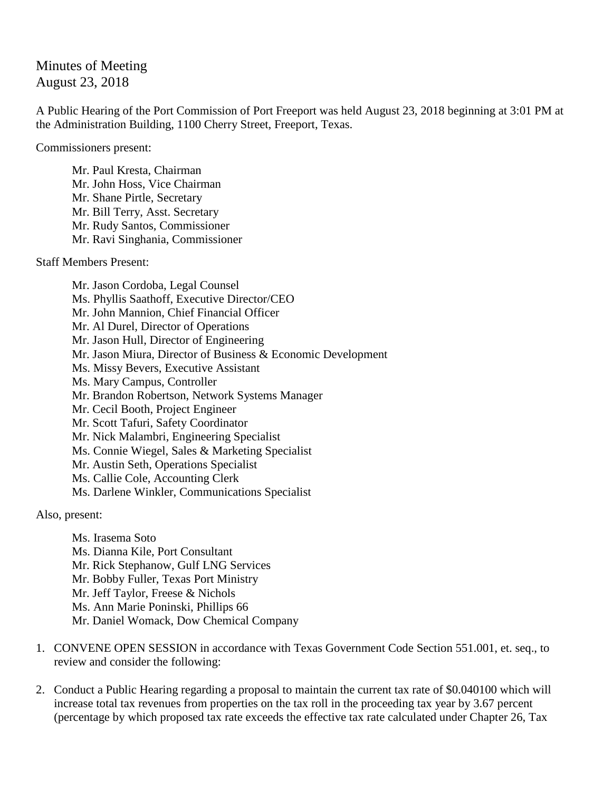## Minutes of Meeting August 23, 2018

A Public Hearing of the Port Commission of Port Freeport was held August 23, 2018 beginning at 3:01 PM at the Administration Building, 1100 Cherry Street, Freeport, Texas.

Commissioners present:

Mr. Paul Kresta, Chairman Mr. John Hoss, Vice Chairman Mr. Shane Pirtle, Secretary Mr. Bill Terry, Asst. Secretary Mr. Rudy Santos, Commissioner Mr. Ravi Singhania, Commissioner

Staff Members Present:

Mr. Jason Cordoba, Legal Counsel Ms. Phyllis Saathoff, Executive Director/CEO Mr. John Mannion, Chief Financial Officer Mr. Al Durel, Director of Operations Mr. Jason Hull, Director of Engineering Mr. Jason Miura, Director of Business & Economic Development Ms. Missy Bevers, Executive Assistant Ms. Mary Campus, Controller Mr. Brandon Robertson, Network Systems Manager Mr. Cecil Booth, Project Engineer Mr. Scott Tafuri, Safety Coordinator Mr. Nick Malambri, Engineering Specialist Ms. Connie Wiegel, Sales & Marketing Specialist Mr. Austin Seth, Operations Specialist Ms. Callie Cole, Accounting Clerk Ms. Darlene Winkler, Communications Specialist

Also, present:

Ms. Irasema Soto Ms. Dianna Kile, Port Consultant Mr. Rick Stephanow, Gulf LNG Services Mr. Bobby Fuller, Texas Port Ministry Mr. Jeff Taylor, Freese & Nichols Ms. Ann Marie Poninski, Phillips 66 Mr. Daniel Womack, Dow Chemical Company

- 1. CONVENE OPEN SESSION in accordance with Texas Government Code Section 551.001, et. seq., to review and consider the following:
- 2. Conduct a Public Hearing regarding a proposal to maintain the current tax rate of \$0.040100 which will increase total tax revenues from properties on the tax roll in the proceeding tax year by 3.67 percent (percentage by which proposed tax rate exceeds the effective tax rate calculated under Chapter 26, Tax